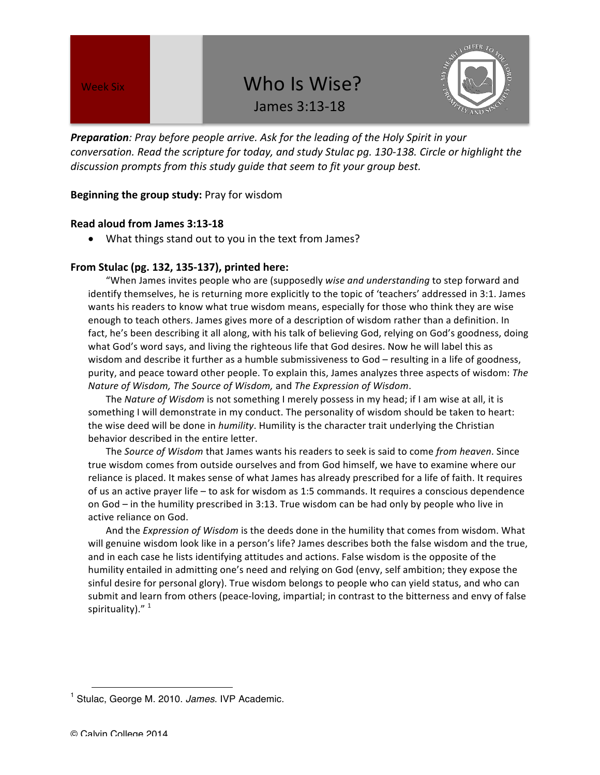# Week Six Who Is Wise? James 3:13-18



**Preparation**: Pray before people arrive. Ask for the leading of the Holy Spirit in your *conversation.* Read the scripture for today, and study Stulac pg. 130-138. Circle or highlight the discussion prompts from this study guide that seem to fit your group best.

### **Beginning the group study:** Pray for wisdom

### **Read aloud from James 3:13-18**

• What things stand out to you in the text from James?

### **From Stulac (pg. 132, 135-137), printed here:**

"When James invites people who are (supposedly *wise and understanding* to step forward and identify themselves, he is returning more explicitly to the topic of 'teachers' addressed in 3:1. James wants his readers to know what true wisdom means, especially for those who think they are wise enough to teach others. James gives more of a description of wisdom rather than a definition. In fact, he's been describing it all along, with his talk of believing God, relying on God's goodness, doing what God's word says, and living the righteous life that God desires. Now he will label this as wisdom and describe it further as a humble submissiveness to God – resulting in a life of goodness, purity, and peace toward other people. To explain this, James analyzes three aspects of wisdom: The *Nature of Wisdom, The Source of Wisdom,* and *The Expression of Wisdom*.

The *Nature of Wisdom* is not something I merely possess in my head; if I am wise at all, it is something I will demonstrate in my conduct. The personality of wisdom should be taken to heart: the wise deed will be done in *humility*. Humility is the character trait underlying the Christian behavior described in the entire letter.

The Source of Wisdom that James wants his readers to seek is said to come from heaven. Since true wisdom comes from outside ourselves and from God himself, we have to examine where our reliance is placed. It makes sense of what James has already prescribed for a life of faith. It requires of us an active prayer life - to ask for wisdom as 1:5 commands. It requires a conscious dependence on God – in the humility prescribed in 3:13. True wisdom can be had only by people who live in active reliance on God.

And the *Expression of Wisdom* is the deeds done in the humility that comes from wisdom. What will genuine wisdom look like in a person's life? James describes both the false wisdom and the true, and in each case he lists identifying attitudes and actions. False wisdom is the opposite of the humility entailed in admitting one's need and relying on God (envy, self ambition; they expose the sinful desire for personal glory). True wisdom belongs to people who can yield status, and who can submit and learn from others (peace-loving, impartial; in contrast to the bitterness and envy of false spirituality)."<sup>1</sup>

 $\overline{a}$ 

<sup>1</sup> Stulac, George M. 2010. *James*. IVP Academic.